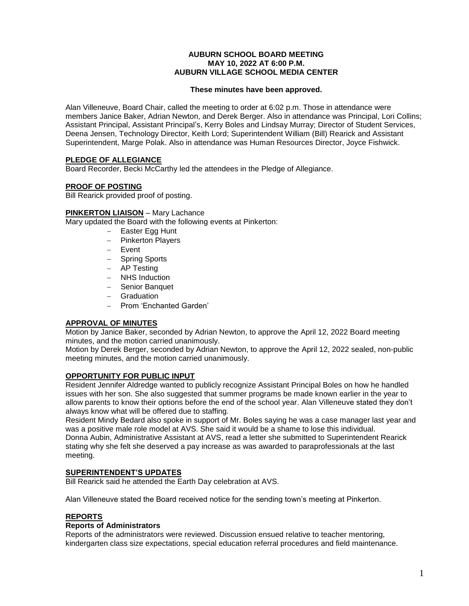#### **AUBURN SCHOOL BOARD MEETING MAY 10, 2022 AT 6:00 P.M. AUBURN VILLAGE SCHOOL MEDIA CENTER**

#### **These minutes have been approved.**

Alan Villeneuve, Board Chair, called the meeting to order at 6:02 p.m. Those in attendance were members Janice Baker, Adrian Newton, and Derek Berger. Also in attendance was Principal, Lori Collins; Assistant Principal, Assistant Principal's, Kerry Boles and Lindsay Murray; Director of Student Services, Deena Jensen, Technology Director, Keith Lord; Superintendent William (Bill) Rearick and Assistant Superintendent, Marge Polak. Also in attendance was Human Resources Director, Joyce Fishwick.

# **PLEDGE OF ALLEGIANCE**

Board Recorder, Becki McCarthy led the attendees in the Pledge of Allegiance.

# **PROOF OF POSTING**

Bill Rearick provided proof of posting.

## **PINKERTON LIAISON** – Mary Lachance

Mary updated the Board with the following events at Pinkerton:

- $-$  Easter Egg Hunt
- $-$  Pinkerton Players
- Event
- Spring Sports
- AP Testing
- NHS Induction
- Senior Banquet
- Graduation
- Prom 'Enchanted Garden'

# **APPROVAL OF MINUTES**

Motion by Janice Baker, seconded by Adrian Newton, to approve the April 12, 2022 Board meeting minutes, and the motion carried unanimously.

Motion by Derek Berger, seconded by Adrian Newton, to approve the April 12, 2022 sealed, non-public meeting minutes, and the motion carried unanimously.

## **OPPORTUNITY FOR PUBLIC INPUT**

Resident Jennifer Aldredge wanted to publicly recognize Assistant Principal Boles on how he handled issues with her son. She also suggested that summer programs be made known earlier in the year to allow parents to know their options before the end of the school year. Alan Villeneuve stated they don't always know what will be offered due to staffing.

Resident Mindy Bedard also spoke in support of Mr. Boles saying he was a case manager last year and was a positive male role model at AVS. She said it would be a shame to lose this individual. Donna Aubin, Administrative Assistant at AVS, read a letter she submitted to Superintendent Rearick stating why she felt she deserved a pay increase as was awarded to paraprofessionals at the last meeting.

# **SUPERINTENDENT'S UPDATES**

Bill Rearick said he attended the Earth Day celebration at AVS.

Alan Villeneuve stated the Board received notice for the sending town's meeting at Pinkerton.

#### **REPORTS**

#### **Reports of Administrators**

Reports of the administrators were reviewed. Discussion ensued relative to teacher mentoring, kindergarten class size expectations, special education referral procedures and field maintenance.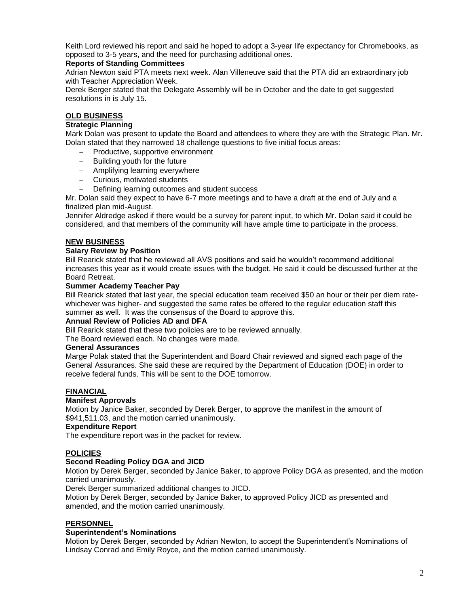Keith Lord reviewed his report and said he hoped to adopt a 3-year life expectancy for Chromebooks, as opposed to 3-5 years, and the need for purchasing additional ones.

## **Reports of Standing Committees**

Adrian Newton said PTA meets next week. Alan Villeneuve said that the PTA did an extraordinary job with Teacher Appreciation Week.

Derek Berger stated that the Delegate Assembly will be in October and the date to get suggested resolutions in is July 15.

# **OLD BUSINESS**

# **Strategic Planning**

Mark Dolan was present to update the Board and attendees to where they are with the Strategic Plan. Mr. Dolan stated that they narrowed 18 challenge questions to five initial focus areas:

- Productive, supportive environment
- $-$  Building youth for the future
- Amplifying learning everywhere
- Curious, motivated students
- Defining learning outcomes and student success

Mr. Dolan said they expect to have 6-7 more meetings and to have a draft at the end of July and a finalized plan mid-August.

Jennifer Aldredge asked if there would be a survey for parent input, to which Mr. Dolan said it could be considered, and that members of the community will have ample time to participate in the process.

# **NEW BUSINESS**

#### **Salary Review by Position**

Bill Rearick stated that he reviewed all AVS positions and said he wouldn't recommend additional increases this year as it would create issues with the budget. He said it could be discussed further at the Board Retreat.

#### **Summer Academy Teacher Pay**

Bill Rearick stated that last year, the special education team received \$50 an hour or their per diem ratewhichever was higher- and suggested the same rates be offered to the regular education staff this summer as well. It was the consensus of the Board to approve this.

#### **Annual Review of Policies AD and DFA**

Bill Rearick stated that these two policies are to be reviewed annually.

The Board reviewed each. No changes were made.

#### **General Assurances**

Marge Polak stated that the Superintendent and Board Chair reviewed and signed each page of the General Assurances. She said these are required by the Department of Education (DOE) in order to receive federal funds. This will be sent to the DOE tomorrow.

# **FINANCIAL**

#### **Manifest Approvals**

Motion by Janice Baker, seconded by Derek Berger, to approve the manifest in the amount of \$941,511.03, and the motion carried unanimously.

#### **Expenditure Report**

The expenditure report was in the packet for review.

#### **POLICIES**

#### **Second Reading Policy DGA and JICD**

Motion by Derek Berger, seconded by Janice Baker, to approve Policy DGA as presented, and the motion carried unanimously.

Derek Berger summarized additional changes to JICD.

Motion by Derek Berger, seconded by Janice Baker, to approved Policy JICD as presented and amended, and the motion carried unanimously.

#### **PERSONNEL**

#### **Superintendent's Nominations**

Motion by Derek Berger, seconded by Adrian Newton, to accept the Superintendent's Nominations of Lindsay Conrad and Emily Royce, and the motion carried unanimously.